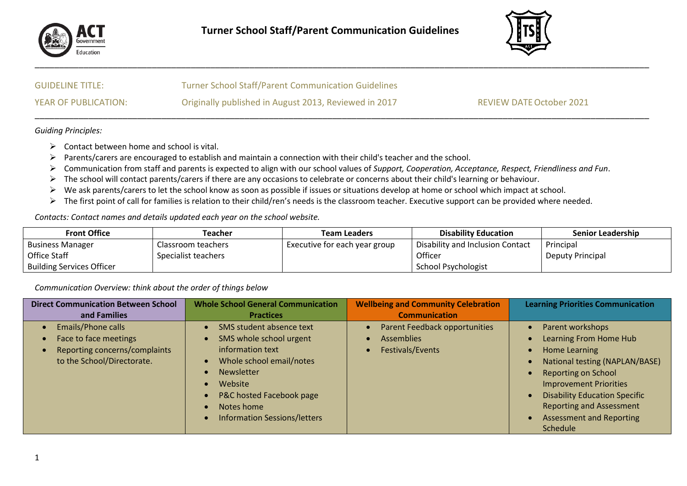

\_\_\_\_\_\_\_\_\_\_\_\_\_\_\_\_\_\_\_\_\_\_\_\_\_\_\_\_\_\_\_\_\_\_\_\_\_\_\_\_\_\_\_\_\_\_\_\_\_\_\_\_\_\_\_\_\_\_\_\_\_\_\_\_\_\_\_\_\_\_\_\_\_\_\_\_\_\_\_\_\_\_\_\_\_\_\_\_\_\_\_\_\_\_\_\_\_\_\_\_\_\_\_\_\_\_\_\_\_\_\_\_\_\_\_\_\_\_\_\_\_\_\_\_\_\_



| <b>GUIDELINE TITLE:</b> | <b>Turner School Staff/Parent Communication Guidelines</b> |                                 |
|-------------------------|------------------------------------------------------------|---------------------------------|
| YEAR OF PUBLICATION:    | Originally published in August 2013, Reviewed in 2017      | <b>REVIEW DATE October 2021</b> |

*Guiding Principles:* 

- $\triangleright$  Contact between home and school is vital.
- ➢ Parents/carers are encouraged to establish and maintain a connection with their child's teacher and the school.
- ➢ Communication from staff and parents is expected to align with our school values of *Support, Cooperation, Acceptance, Respect, Friendliness and Fun*.
- ➢ The school will contact parents/carers if there are any occasions to celebrate or concerns about their child's learning or behaviour.
- ➢ We ask parents/carers to let the school know as soon as possible if issues or situations develop at home or school which impact at school.
- ➢ The first point of call for families is relation to their child/ren's needs is the classroom teacher. Executive support can be provided where needed.

*Contacts: Contact names and details updated each year on the school website.* 

| <b>Front Office</b>              | Teacher             | Team Leaders                  | <b>Disability Education</b>      | <b>Senior Leadership</b> |
|----------------------------------|---------------------|-------------------------------|----------------------------------|--------------------------|
| <b>Business Manager</b>          | Classroom teachers  | Executive for each year group | Disability and Inclusion Contact | Principal                |
| Office Staff                     | Specialist teachers |                               | Officer                          | <b>Deputy Principal</b>  |
| <b>Building Services Officer</b> |                     |                               | School Psychologist              |                          |

*Communication Overview: think about the order of things below*

| <b>Direct Communication Between School</b>                                                                        | <b>Whole School General Communication</b>                                                                                                                                                                            | <b>Wellbeing and Community Celebration</b>                                                              | <b>Learning Priorities Communication</b>                                                                                                                                                                                                                                               |
|-------------------------------------------------------------------------------------------------------------------|----------------------------------------------------------------------------------------------------------------------------------------------------------------------------------------------------------------------|---------------------------------------------------------------------------------------------------------|----------------------------------------------------------------------------------------------------------------------------------------------------------------------------------------------------------------------------------------------------------------------------------------|
| and Families                                                                                                      | <b>Practices</b>                                                                                                                                                                                                     | <b>Communication</b>                                                                                    |                                                                                                                                                                                                                                                                                        |
| <b>Emails/Phone calls</b><br>Face to face meetings<br>Reporting concerns/complaints<br>to the School/Directorate. | SMS student absence text<br>SMS whole school urgent<br>information text<br>Whole school email/notes<br><b>Newsletter</b><br>Website<br>P&C hosted Facebook page<br>Notes home<br><b>Information Sessions/letters</b> | <b>Parent Feedback opportunities</b><br>$\bullet$<br><b>Assemblies</b><br>Festivals/Events<br>$\bullet$ | Parent workshops<br>Learning From Home Hub<br>Home Learning<br>National testing (NAPLAN/BASE)<br><b>Reporting on School</b><br><b>Improvement Priorities</b><br><b>Disability Education Specific</b><br><b>Reporting and Assessment</b><br><b>Assessment and Reporting</b><br>Schedule |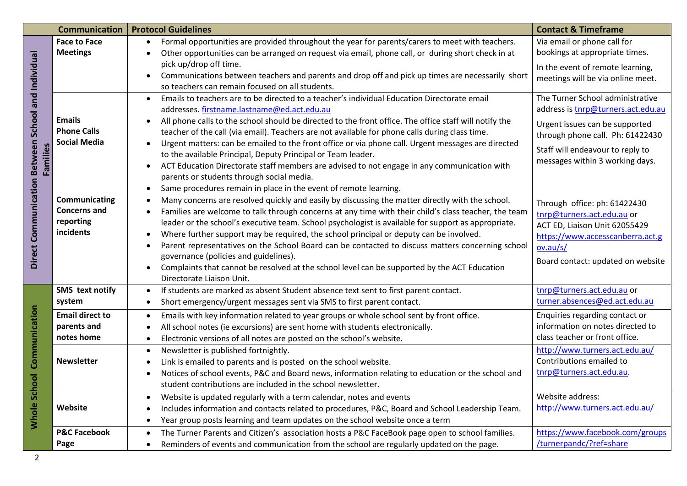|                                                                | <b>Communication</b>                                           | <b>Protocol Guidelines</b>                                                                                                                                                                                                                                                                                                                                                                                                                                                                                                                                                                                                                             | <b>Contact &amp; Timeframe</b>                                                                                                                                                   |
|----------------------------------------------------------------|----------------------------------------------------------------|--------------------------------------------------------------------------------------------------------------------------------------------------------------------------------------------------------------------------------------------------------------------------------------------------------------------------------------------------------------------------------------------------------------------------------------------------------------------------------------------------------------------------------------------------------------------------------------------------------------------------------------------------------|----------------------------------------------------------------------------------------------------------------------------------------------------------------------------------|
| Direct Communication Between School and Individual<br>Families | <b>Face to Face</b><br><b>Meetings</b>                         | Formal opportunities are provided throughout the year for parents/carers to meet with teachers.<br>Other opportunities can be arranged on request via email, phone call, or during short check in at                                                                                                                                                                                                                                                                                                                                                                                                                                                   | Via email or phone call for<br>bookings at appropriate times.                                                                                                                    |
|                                                                |                                                                | pick up/drop off time.<br>Communications between teachers and parents and drop off and pick up times are necessarily short<br>$\bullet$<br>so teachers can remain focused on all students.                                                                                                                                                                                                                                                                                                                                                                                                                                                             | In the event of remote learning,<br>meetings will be via online meet.                                                                                                            |
|                                                                |                                                                | Emails to teachers are to be directed to a teacher's individual Education Directorate email<br>$\bullet$<br>addresses. firstname.lastname@ed.act.edu.au                                                                                                                                                                                                                                                                                                                                                                                                                                                                                                | The Turner School administrative<br>address is tnrp@turners.act.edu.au                                                                                                           |
|                                                                | <b>Emails</b><br><b>Phone Calls</b><br><b>Social Media</b>     | All phone calls to the school should be directed to the front office. The office staff will notify the<br>$\bullet$<br>teacher of the call (via email). Teachers are not available for phone calls during class time.                                                                                                                                                                                                                                                                                                                                                                                                                                  | Urgent issues can be supported<br>through phone call. Ph: 61422430                                                                                                               |
|                                                                |                                                                | Urgent matters: can be emailed to the front office or via phone call. Urgent messages are directed<br>to the available Principal, Deputy Principal or Team leader.<br>ACT Education Directorate staff members are advised to not engage in any communication with                                                                                                                                                                                                                                                                                                                                                                                      | Staff will endeavour to reply to<br>messages within 3 working days.                                                                                                              |
|                                                                |                                                                | parents or students through social media.<br>Same procedures remain in place in the event of remote learning.<br>$\bullet$                                                                                                                                                                                                                                                                                                                                                                                                                                                                                                                             |                                                                                                                                                                                  |
|                                                                | Communicating<br><b>Concerns and</b><br>reporting<br>incidents | Many concerns are resolved quickly and easily by discussing the matter directly with the school.<br>Families are welcome to talk through concerns at any time with their child's class teacher, the team<br>leader or the school's executive team. School psychologist is available for support as appropriate.<br>Where further support may be required, the school principal or deputy can be involved.<br>Parent representatives on the School Board can be contacted to discuss matters concerning school<br>governance (policies and guidelines).<br>Complaints that cannot be resolved at the school level can be supported by the ACT Education | Through office: ph: 61422430<br>tnrp@turners.act.edu.au or<br>ACT ED, Liaison Unit 62055429<br>https://www.accesscanberra.act.g<br>ov.au/s/<br>Board contact: updated on website |
|                                                                | SMS text notify<br>system                                      | Directorate Liaison Unit.<br>If students are marked as absent Student absence text sent to first parent contact.<br>$\bullet$<br>Short emergency/urgent messages sent via SMS to first parent contact.<br>$\bullet$                                                                                                                                                                                                                                                                                                                                                                                                                                    | tnrp@turners.act.edu.au or<br>turner.absences@ed.act.edu.au                                                                                                                      |
| <b>Whole School Communication</b>                              | <b>Email direct to</b><br>parents and<br>notes home            | Emails with key information related to year groups or whole school sent by front office.<br>All school notes (ie excursions) are sent home with students electronically.<br>Electronic versions of all notes are posted on the school's website.<br>$\bullet$                                                                                                                                                                                                                                                                                                                                                                                          | Enquiries regarding contact or<br>information on notes directed to<br>class teacher or front office.                                                                             |
|                                                                | <b>Newsletter</b>                                              | Newsletter is published fortnightly.<br>$\bullet$<br>Link is emailed to parents and is posted on the school website.<br>Notices of school events, P&C and Board news, information relating to education or the school and<br>student contributions are included in the school newsletter.                                                                                                                                                                                                                                                                                                                                                              | http://www.turners.act.edu.au/<br>Contributions emailed to<br>tnrp@turners.act.edu.au.                                                                                           |
|                                                                | Website                                                        | Website is updated regularly with a term calendar, notes and events<br>$\bullet$<br>Includes information and contacts related to procedures, P&C, Board and School Leadership Team.<br>Year group posts learning and team updates on the school website once a term                                                                                                                                                                                                                                                                                                                                                                                    | Website address:<br>http://www.turners.act.edu.au/                                                                                                                               |
|                                                                | <b>P&amp;C Facebook</b><br>Page                                | The Turner Parents and Citizen's association hosts a P&C FaceBook page open to school families.<br>$\bullet$<br>Reminders of events and communication from the school are regularly updated on the page.<br>$\bullet$                                                                                                                                                                                                                                                                                                                                                                                                                                  | https://www.facebook.com/groups<br>/turnerpandc/?ref=share                                                                                                                       |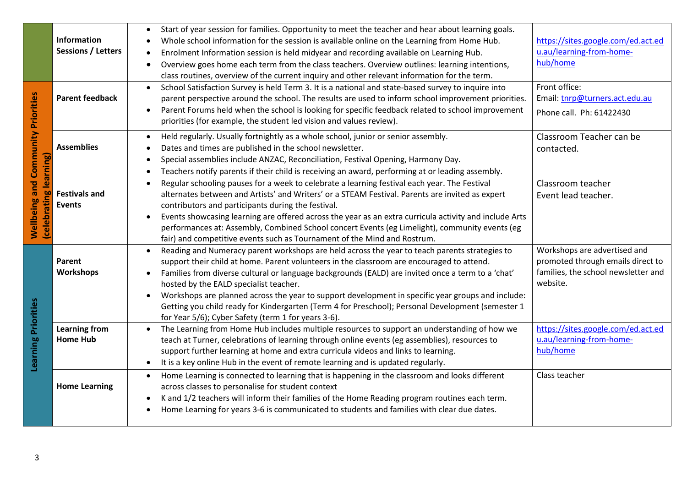| <b>Wellbeing and Community Priorities</b><br>(celebrating learning)<br><b>Learning Priorities</b> | Information<br><b>Sessions / Letters</b><br><b>Parent feedback</b> | Start of year session for families. Opportunity to meet the teacher and hear about learning goals.<br>Whole school information for the session is available online on the Learning from Home Hub.<br>Enrolment Information session is held midyear and recording available on Learning Hub.<br>Overview goes home each term from the class teachers. Overview outlines: learning intentions,<br>class routines, overview of the current inquiry and other relevant information for the term.<br>School Satisfaction Survey is held Term 3. It is a national and state-based survey to inquire into<br>$\bullet$<br>parent perspective around the school. The results are used to inform school improvement priorities.<br>Parent Forums held when the school is looking for specific feedback related to school improvement<br>$\bullet$<br>priorities (for example, the student led vision and values review). | https://sites.google.com/ed.act.ed<br>u.au/learning-from-home-<br>hub/home<br>Front office:<br>Email: tnrp@turners.act.edu.au<br>Phone call. Ph: 61422430 |
|---------------------------------------------------------------------------------------------------|--------------------------------------------------------------------|-----------------------------------------------------------------------------------------------------------------------------------------------------------------------------------------------------------------------------------------------------------------------------------------------------------------------------------------------------------------------------------------------------------------------------------------------------------------------------------------------------------------------------------------------------------------------------------------------------------------------------------------------------------------------------------------------------------------------------------------------------------------------------------------------------------------------------------------------------------------------------------------------------------------|-----------------------------------------------------------------------------------------------------------------------------------------------------------|
|                                                                                                   | <b>Assemblies</b>                                                  | Held regularly. Usually fortnightly as a whole school, junior or senior assembly.<br>$\bullet$<br>Dates and times are published in the school newsletter.<br>Special assemblies include ANZAC, Reconciliation, Festival Opening, Harmony Day.<br>٠<br>Teachers notify parents if their child is receiving an award, performing at or leading assembly.<br>$\bullet$                                                                                                                                                                                                                                                                                                                                                                                                                                                                                                                                             | Classroom Teacher can be<br>contacted.                                                                                                                    |
|                                                                                                   | <b>Festivals and</b><br><b>Events</b>                              | Regular schooling pauses for a week to celebrate a learning festival each year. The Festival<br>$\bullet$<br>alternates between and Artists' and Writers' or a STEAM Festival. Parents are invited as expert<br>contributors and participants during the festival.<br>Events showcasing learning are offered across the year as an extra curricula activity and include Arts<br>performances at: Assembly, Combined School concert Events (eg Limelight), community events (eg<br>fair) and competitive events such as Tournament of the Mind and Rostrum.                                                                                                                                                                                                                                                                                                                                                      | Classroom teacher<br>Event lead teacher.                                                                                                                  |
|                                                                                                   | Parent<br><b>Workshops</b>                                         | Reading and Numeracy parent workshops are held across the year to teach parents strategies to<br>$\bullet$<br>support their child at home. Parent volunteers in the classroom are encouraged to attend.<br>Families from diverse cultural or language backgrounds (EALD) are invited once a term to a 'chat'<br>$\bullet$<br>hosted by the EALD specialist teacher.<br>Workshops are planned across the year to support development in specific year groups and include:<br>Getting you child ready for Kindergarten (Term 4 for Preschool); Personal Development (semester 1<br>for Year 5/6); Cyber Safety (term 1 for years 3-6).                                                                                                                                                                                                                                                                            | Workshops are advertised and<br>promoted through emails direct to<br>families, the school newsletter and<br>website.                                      |
|                                                                                                   | <b>Learning from</b><br><b>Home Hub</b>                            | The Learning from Home Hub includes multiple resources to support an understanding of how we<br>teach at Turner, celebrations of learning through online events (eg assemblies), resources to<br>support further learning at home and extra curricula videos and links to learning.<br>It is a key online Hub in the event of remote learning and is updated regularly.<br>$\bullet$                                                                                                                                                                                                                                                                                                                                                                                                                                                                                                                            | https://sites.google.com/ed.act.ed<br>u.au/learning-from-home-<br>hub/home                                                                                |
|                                                                                                   | <b>Home Learning</b>                                               | Home Learning is connected to learning that is happening in the classroom and looks different<br>$\bullet$<br>across classes to personalise for student context<br>K and 1/2 teachers will inform their families of the Home Reading program routines each term.<br>$\bullet$<br>Home Learning for years 3-6 is communicated to students and families with clear due dates.                                                                                                                                                                                                                                                                                                                                                                                                                                                                                                                                     | Class teacher                                                                                                                                             |